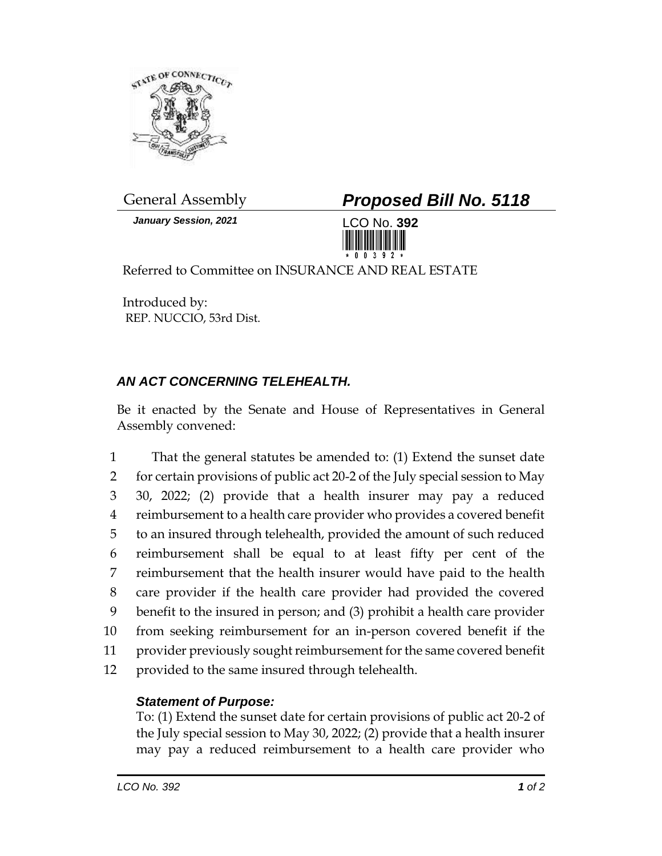

*January Session, 2021* LCO No. **392**

General Assembly *Proposed Bill No. 5118*



Referred to Committee on INSURANCE AND REAL ESTATE

Introduced by: REP. NUCCIO, 53rd Dist.

## *AN ACT CONCERNING TELEHEALTH.*

Be it enacted by the Senate and House of Representatives in General Assembly convened:

 That the general statutes be amended to: (1) Extend the sunset date for certain provisions of public act 20-2 of the July special session to May 30, 2022; (2) provide that a health insurer may pay a reduced reimbursement to a health care provider who provides a covered benefit to an insured through telehealth, provided the amount of such reduced reimbursement shall be equal to at least fifty per cent of the reimbursement that the health insurer would have paid to the health care provider if the health care provider had provided the covered benefit to the insured in person; and (3) prohibit a health care provider from seeking reimbursement for an in-person covered benefit if the provider previously sought reimbursement for the same covered benefit provided to the same insured through telehealth.

## *Statement of Purpose:*

To: (1) Extend the sunset date for certain provisions of public act 20-2 of the July special session to May 30, 2022; (2) provide that a health insurer may pay a reduced reimbursement to a health care provider who